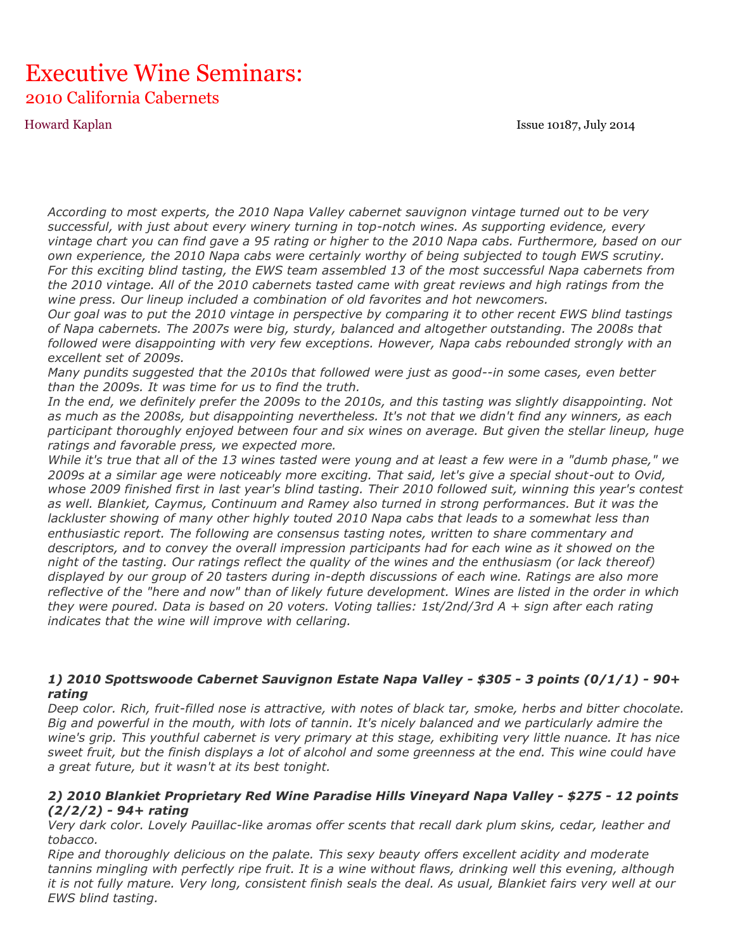Howard Kaplan Issue 10187, July 2014

# Executive Wine Seminars: 2010 California Cabernets

*According to most experts, the 2010 Napa Valley cabernet sauvignon vintage turned out to be very successful, with just about every winery turning in top-notch wines. As supporting evidence, every vintage chart you can find gave a 95 rating or higher to the 2010 Napa cabs. Furthermore, based on our own experience, the 2010 Napa cabs were certainly worthy of being subjected to tough EWS scrutiny. For this exciting blind tasting, the EWS team assembled 13 of the most successful Napa cabernets from the 2010 vintage. All of the 2010 cabernets tasted came with great reviews and high ratings from the wine press. Our lineup included a combination of old favorites and hot newcomers.*

*Our goal was to put the 2010 vintage in perspective by comparing it to other recent EWS blind tastings of Napa cabernets. The 2007s were big, sturdy, balanced and altogether outstanding. The 2008s that followed were disappointing with very few exceptions. However, Napa cabs rebounded strongly with an excellent set of 2009s.*

*Many pundits suggested that the 2010s that followed were just as good--in some cases, even better than the 2009s. It was time for us to find the truth.*

*In the end, we definitely prefer the 2009s to the 2010s, and this tasting was slightly disappointing. Not as much as the 2008s, but disappointing nevertheless. It's not that we didn't find any winners, as each participant thoroughly enjoyed between four and six wines on average. But given the stellar lineup, huge ratings and favorable press, we expected more.*

*While it's true that all of the 13 wines tasted were young and at least a few were in a "dumb phase," we 2009s at a similar age were noticeably more exciting. That said, let's give a special shout-out to Ovid, whose 2009 finished first in last year's blind tasting. Their 2010 followed suit, winning this year's contest as well. Blankiet, Caymus, Continuum and Ramey also turned in strong performances. But it was the lackluster showing of many other highly touted 2010 Napa cabs that leads to a somewhat less than enthusiastic report. The following are consensus tasting notes, written to share commentary and descriptors, and to convey the overall impression participants had for each wine as it showed on the night of the tasting. Our ratings reflect the quality of the wines and the enthusiasm (or lack thereof) displayed by our group of 20 tasters during in-depth discussions of each wine. Ratings are also more reflective of the "here and now" than of likely future development. Wines are listed in the order in which they were poured. Data is based on 20 voters. Voting tallies: 1st/2nd/3rd A + sign after each rating indicates that the wine will improve with cellaring.*

#### *1) 2010 Spottswoode Cabernet Sauvignon Estate Napa Valley - \$305 - 3 points (0/1/1) - 90+ rating*

*Deep color. Rich, fruit-filled nose is attractive, with notes of black tar, smoke, herbs and bitter chocolate. Big and powerful in the mouth, with lots of tannin. It's nicely balanced and we particularly admire the wine's grip. This youthful cabernet is very primary at this stage, exhibiting very little nuance. It has nice sweet fruit, but the finish displays a lot of alcohol and some greenness at the end. This wine could have a great future, but it wasn't at its best tonight.*

#### *2) 2010 Blankiet Proprietary Red Wine Paradise Hills Vineyard Napa Valley - \$275 - 12 points (2/2/2) - 94+ rating*

*Very dark color. Lovely Pauillac-like aromas offer scents that recall dark plum skins, cedar, leather and tobacco.*

*Ripe and thoroughly delicious on the palate. This sexy beauty offers excellent acidity and moderate tannins mingling with perfectly ripe fruit. It is a wine without flaws, drinking well this evening, although it is not fully mature. Very long, consistent finish seals the deal. As usual, Blankiet fairs very well at our EWS blind tasting.*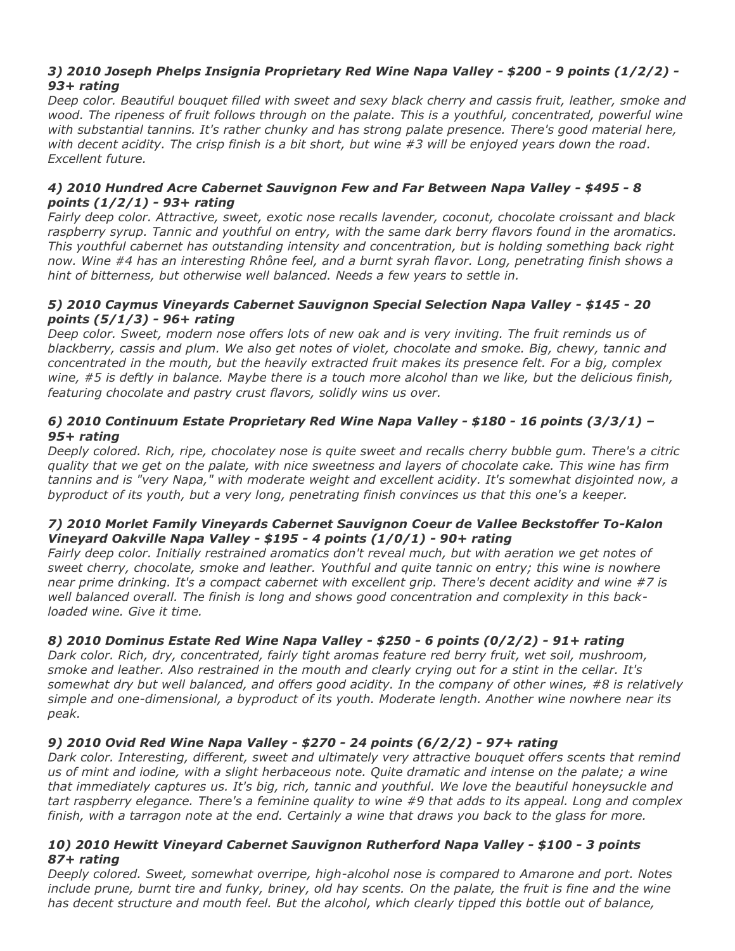### *3) 2010 Joseph Phelps Insignia Proprietary Red Wine Napa Valley - \$200 - 9 points (1/2/2) - 93+ rating*

*Deep color. Beautiful bouquet filled with sweet and sexy black cherry and cassis fruit, leather, smoke and wood. The ripeness of fruit follows through on the palate. This is a youthful, concentrated, powerful wine with substantial tannins. It's rather chunky and has strong palate presence. There's good material here, with decent acidity. The crisp finish is a bit short, but wine #3 will be enjoyed years down the road. Excellent future.*

#### *4) 2010 Hundred Acre Cabernet Sauvignon Few and Far Between Napa Valley - \$495 - 8 points (1/2/1) - 93+ rating*

*Fairly deep color. Attractive, sweet, exotic nose recalls lavender, coconut, chocolate croissant and black raspberry syrup. Tannic and youthful on entry, with the same dark berry flavors found in the aromatics. This youthful cabernet has outstanding intensity and concentration, but is holding something back right now. Wine #4 has an interesting Rhône feel, and a burnt syrah flavor. Long, penetrating finish shows a hint of bitterness, but otherwise well balanced. Needs a few years to settle in.*

#### *5) 2010 Caymus Vineyards Cabernet Sauvignon Special Selection Napa Valley - \$145 - 20 points (5/1/3) - 96+ rating*

*Deep color. Sweet, modern nose offers lots of new oak and is very inviting. The fruit reminds us of blackberry, cassis and plum. We also get notes of violet, chocolate and smoke. Big, chewy, tannic and concentrated in the mouth, but the heavily extracted fruit makes its presence felt. For a big, complex wine, #5 is deftly in balance. Maybe there is a touch more alcohol than we like, but the delicious finish, featuring chocolate and pastry crust flavors, solidly wins us over.*

#### *6) 2010 Continuum Estate Proprietary Red Wine Napa Valley - \$180 - 16 points (3/3/1) – 95+ rating*

*Deeply colored. Rich, ripe, chocolatey nose is quite sweet and recalls cherry bubble gum. There's a citric quality that we get on the palate, with nice sweetness and layers of chocolate cake. This wine has firm tannins and is "very Napa," with moderate weight and excellent acidity. It's somewhat disjointed now, a byproduct of its youth, but a very long, penetrating finish convinces us that this one's a keeper.*

### *7) 2010 Morlet Family Vineyards Cabernet Sauvignon Coeur de Vallee Beckstoffer To-Kalon Vineyard Oakville Napa Valley - \$195 - 4 points (1/0/1) - 90+ rating*

*Fairly deep color. Initially restrained aromatics don't reveal much, but with aeration we get notes of sweet cherry, chocolate, smoke and leather. Youthful and quite tannic on entry; this wine is nowhere near prime drinking. It's a compact cabernet with excellent grip. There's decent acidity and wine #7 is well balanced overall. The finish is long and shows good concentration and complexity in this backloaded wine. Give it time.*

## *8) 2010 Dominus Estate Red Wine Napa Valley - \$250 - 6 points (0/2/2) - 91+ rating*

*Dark color. Rich, dry, concentrated, fairly tight aromas feature red berry fruit, wet soil, mushroom, smoke and leather. Also restrained in the mouth and clearly crying out for a stint in the cellar. It's somewhat dry but well balanced, and offers good acidity. In the company of other wines, #8 is relatively simple and one-dimensional, a byproduct of its youth. Moderate length. Another wine nowhere near its peak.*

## *9) 2010 Ovid Red Wine Napa Valley - \$270 - 24 points (6/2/2) - 97+ rating*

*Dark color. Interesting, different, sweet and ultimately very attractive bouquet offers scents that remind us of mint and iodine, with a slight herbaceous note. Quite dramatic and intense on the palate; a wine that immediately captures us. It's big, rich, tannic and youthful. We love the beautiful honeysuckle and tart raspberry elegance. There's a feminine quality to wine #9 that adds to its appeal. Long and complex finish, with a tarragon note at the end. Certainly a wine that draws you back to the glass for more.*

#### *10) 2010 Hewitt Vineyard Cabernet Sauvignon Rutherford Napa Valley - \$100 - 3 points 87+ rating*

*Deeply colored. Sweet, somewhat overripe, high-alcohol nose is compared to Amarone and port. Notes include prune, burnt tire and funky, briney, old hay scents. On the palate, the fruit is fine and the wine has decent structure and mouth feel. But the alcohol, which clearly tipped this bottle out of balance,*